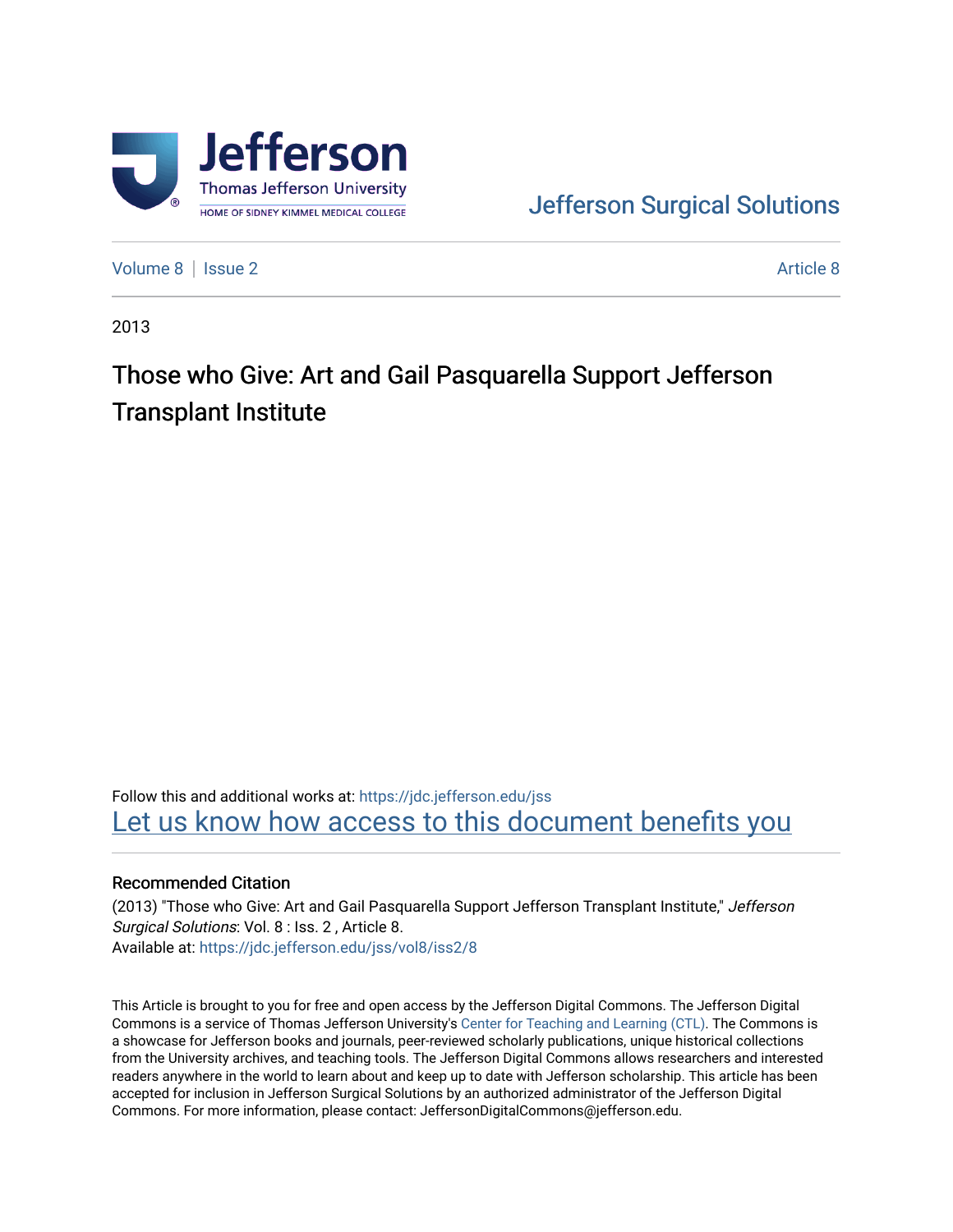

[Jefferson Surgical Solutions](https://jdc.jefferson.edu/jss) 

[Volume 8](https://jdc.jefferson.edu/jss/vol8) | [Issue 2](https://jdc.jefferson.edu/jss/vol8/iss2) Article 8

2013

# Those who Give: Art and Gail Pasquarella Support Jefferson Transplant Institute

Follow this and additional works at: [https://jdc.jefferson.edu/jss](https://jdc.jefferson.edu/jss?utm_source=jdc.jefferson.edu%2Fjss%2Fvol8%2Fiss2%2F8&utm_medium=PDF&utm_campaign=PDFCoverPages)  Let us know how access to this document benefits you

### Recommended Citation

(2013) "Those who Give: Art and Gail Pasquarella Support Jefferson Transplant Institute," Jefferson Surgical Solutions: Vol. 8 : Iss. 2 , Article 8. Available at: [https://jdc.jefferson.edu/jss/vol8/iss2/8](https://jdc.jefferson.edu/jss/vol8/iss2/8?utm_source=jdc.jefferson.edu%2Fjss%2Fvol8%2Fiss2%2F8&utm_medium=PDF&utm_campaign=PDFCoverPages) 

This Article is brought to you for free and open access by the Jefferson Digital Commons. The Jefferson Digital Commons is a service of Thomas Jefferson University's [Center for Teaching and Learning \(CTL\)](http://www.jefferson.edu/university/teaching-learning.html/). The Commons is a showcase for Jefferson books and journals, peer-reviewed scholarly publications, unique historical collections from the University archives, and teaching tools. The Jefferson Digital Commons allows researchers and interested readers anywhere in the world to learn about and keep up to date with Jefferson scholarship. This article has been accepted for inclusion in Jefferson Surgical Solutions by an authorized administrator of the Jefferson Digital Commons. For more information, please contact: JeffersonDigitalCommons@jefferson.edu.